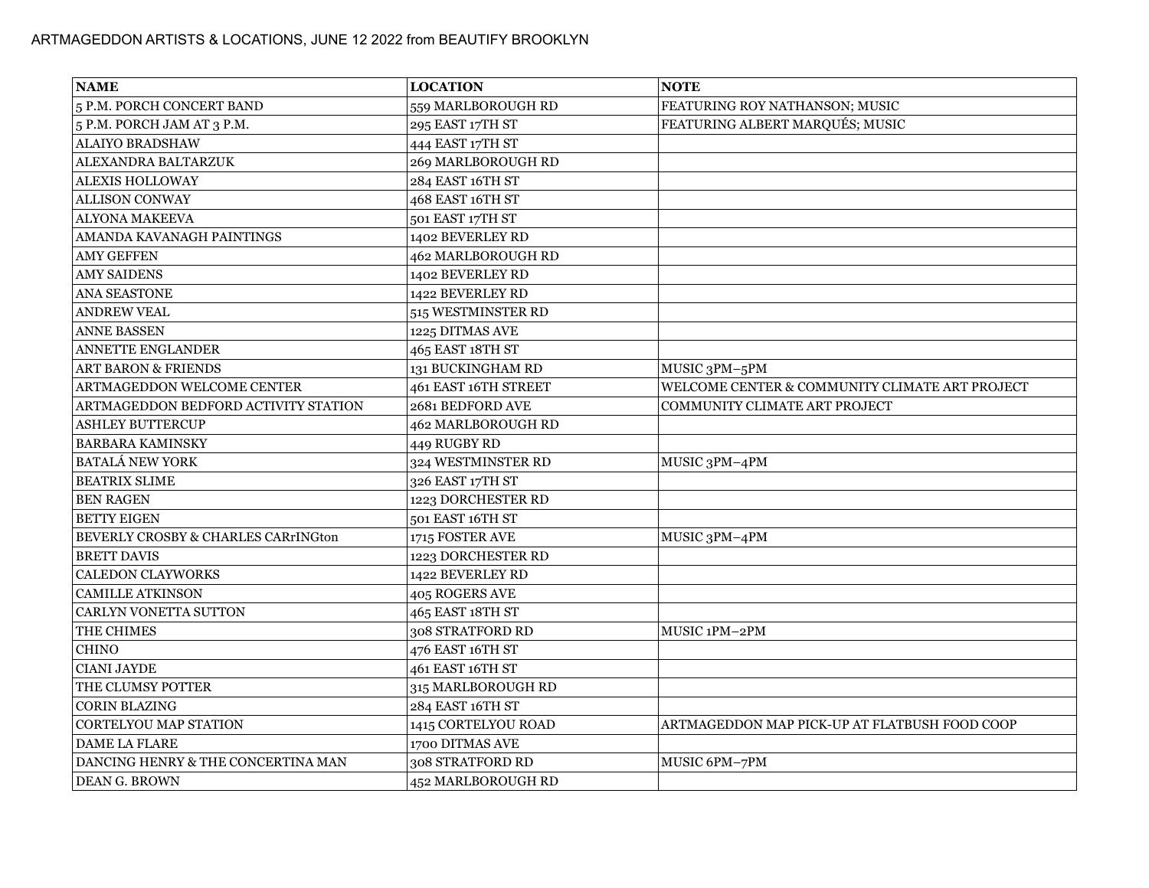| <b>NAME</b>                                    | <b>LOCATION</b>      | <b>NOTE</b>                                    |
|------------------------------------------------|----------------------|------------------------------------------------|
| 5 P.M. PORCH CONCERT BAND                      | 559 MARLBOROUGH RD   | FEATURING ROY NATHANSON; MUSIC                 |
| 5 P.M. PORCH JAM AT 3 P.M.                     | 295 EAST 17TH ST     | FEATURING ALBERT MARQUÉS; MUSIC                |
| <b>ALAIYO BRADSHAW</b>                         | 444 EAST 17TH ST     |                                                |
| ALEXANDRA BALTARZUK                            | 269 MARLBOROUGH RD   |                                                |
| <b>ALEXIS HOLLOWAY</b>                         | 284 EAST 16TH ST     |                                                |
| <b>ALLISON CONWAY</b>                          | 468 EAST 16TH ST     |                                                |
| <b>ALYONA MAKEEVA</b>                          | 501 EAST 17TH ST     |                                                |
| AMANDA KAVANAGH PAINTINGS                      | 1402 BEVERLEY RD     |                                                |
| <b>AMY GEFFEN</b>                              | 462 MARLBOROUGH RD   |                                                |
| <b>AMY SAIDENS</b>                             | 1402 BEVERLEY RD     |                                                |
| ANA SEASTONE                                   | 1422 BEVERLEY RD     |                                                |
| <b>ANDREW VEAL</b>                             | 515 WESTMINSTER RD   |                                                |
| <b>ANNE BASSEN</b>                             | 1225 DITMAS AVE      |                                                |
| <b>ANNETTE ENGLANDER</b>                       | 465 EAST 18TH ST     |                                                |
| <b>ART BARON &amp; FRIENDS</b>                 | 131 BUCKINGHAM RD    | MUSIC 3PM-5PM                                  |
| ARTMAGEDDON WELCOME CENTER                     | 461 EAST 16TH STREET | WELCOME CENTER & COMMUNITY CLIMATE ART PROJECT |
| ARTMAGEDDON BEDFORD ACTIVITY STATION           | 2681 BEDFORD AVE     | COMMUNITY CLIMATE ART PROJECT                  |
| <b>ASHLEY BUTTERCUP</b>                        | 462 MARLBOROUGH RD   |                                                |
| <b>BARBARA KAMINSKY</b>                        | 449 RUGBY RD         |                                                |
| <b>BATALÁ NEW YORK</b>                         | 324 WESTMINSTER RD   | MUSIC 3PM-4PM                                  |
| <b>BEATRIX SLIME</b>                           | 326 EAST 17TH ST     |                                                |
| <b>BEN RAGEN</b>                               | 1223 DORCHESTER RD   |                                                |
| <b>BETTY EIGEN</b>                             | 501 EAST 16TH ST     |                                                |
| <b>BEVERLY CROSBY &amp; CHARLES CARrINGton</b> | 1715 FOSTER AVE      | MUSIC 3PM-4PM                                  |
| <b>BRETT DAVIS</b>                             | 1223 DORCHESTER RD   |                                                |
| <b>CALEDON CLAYWORKS</b>                       | 1422 BEVERLEY RD     |                                                |
| <b>CAMILLE ATKINSON</b>                        | 405 ROGERS AVE       |                                                |
| CARLYN VONETTA SUTTON                          | 465 EAST 18TH ST     |                                                |
| <b>THE CHIMES</b>                              | 308 STRATFORD RD     | MUSIC 1PM-2PM                                  |
| <b>CHINO</b>                                   | 476 EAST 16TH ST     |                                                |
| <b>CIANI JAYDE</b>                             | 461 EAST 16TH ST     |                                                |
| THE CLUMSY POTTER                              | 315 MARLBOROUGH RD   |                                                |
| <b>CORIN BLAZING</b>                           | 284 EAST 16TH ST     |                                                |
| <b>CORTELYOU MAP STATION</b>                   | 1415 CORTELYOU ROAD  | ARTMAGEDDON MAP PICK-UP AT FLATBUSH FOOD COOP  |
| <b>DAME LA FLARE</b>                           | 1700 DITMAS AVE      |                                                |
| DANCING HENRY & THE CONCERTINA MAN             | 308 STRATFORD RD     | MUSIC 6PM-7PM                                  |
| DEAN G. BROWN                                  | 452 MARLBOROUGH RD   |                                                |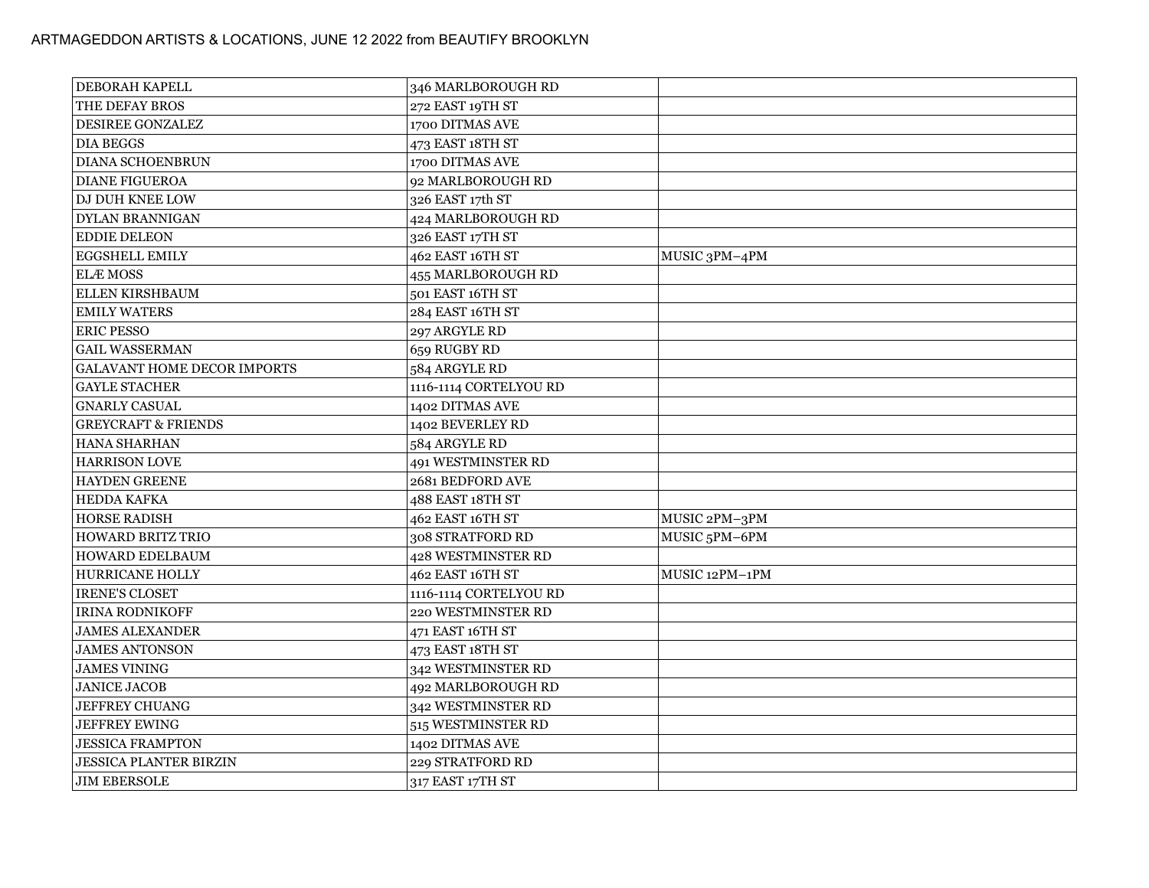| <b>DEBORAH KAPELL</b>              | 346 MARLBOROUGH RD        |                |
|------------------------------------|---------------------------|----------------|
| THE DEFAY BROS                     | 272 EAST 19TH ST          |                |
| <b>DESIREE GONZALEZ</b>            | 1700 DITMAS AVE           |                |
| <b>DIA BEGGS</b>                   | 473 EAST 18TH ST          |                |
| <b>DIANA SCHOENBRUN</b>            | 1700 DITMAS AVE           |                |
| <b>DIANE FIGUEROA</b>              | 92 MARLBOROUGH RD         |                |
| <b>DJ DUH KNEE LOW</b>             | 326 EAST 17th ST          |                |
| <b>DYLAN BRANNIGAN</b>             | 424 MARLBOROUGH RD        |                |
| <b>EDDIE DELEON</b>                | 326 EAST 17TH ST          |                |
| <b>EGGSHELL EMILY</b>              | 462 EAST 16TH ST          | MUSIC 3PM-4PM  |
| <b>ELÆMOSS</b>                     | 455 MARLBOROUGH RD        |                |
| <b>ELLEN KIRSHBAUM</b>             | 501 EAST 16TH ST          |                |
| <b>EMILY WATERS</b>                | 284 EAST 16TH ST          |                |
| <b>ERIC PESSO</b>                  | 297 ARGYLE RD             |                |
| <b>GAIL WASSERMAN</b>              | 659 RUGBY RD              |                |
| <b>GALAVANT HOME DECOR IMPORTS</b> | 584 ARGYLE RD             |                |
| <b>GAYLE STACHER</b>               | 1116-1114 CORTELYOU RD    |                |
| <b>GNARLY CASUAL</b>               | 1402 DITMAS AVE           |                |
| <b>GREYCRAFT &amp; FRIENDS</b>     | 1402 BEVERLEY RD          |                |
| HANA SHARHAN                       | 584 ARGYLE RD             |                |
| <b>HARRISON LOVE</b>               | 491 WESTMINSTER RD        |                |
| HAYDEN GREENE                      | 2681 BEDFORD AVE          |                |
| <b>HEDDA KAFKA</b>                 | 488 EAST 18TH ST          |                |
| <b>HORSE RADISH</b>                | 462 EAST 16TH ST          | MUSIC 2PM-3PM  |
| <b>HOWARD BRITZ TRIO</b>           | 308 STRATFORD RD          | MUSIC 5PM-6PM  |
| <b>HOWARD EDELBAUM</b>             | <b>428 WESTMINSTER RD</b> |                |
| <b>HURRICANE HOLLY</b>             | 462 EAST 16TH ST          | MUSIC 12PM-1PM |
| <b>IRENE'S CLOSET</b>              | 1116-1114 CORTELYOU RD    |                |
| <b>IRINA RODNIKOFF</b>             | 220 WESTMINSTER RD        |                |
| <b>JAMES ALEXANDER</b>             | 471 EAST 16TH ST          |                |
| <b>JAMES ANTONSON</b>              | 473 EAST 18TH ST          |                |
| <b>JAMES VINING</b>                | 342 WESTMINSTER RD        |                |
| <b>JANICE JACOB</b>                | 492 MARLBOROUGH RD        |                |
| JEFFREY CHUANG                     | 342 WESTMINSTER RD        |                |
| <b>JEFFREY EWING</b>               | 515 WESTMINSTER RD        |                |
| <b>JESSICA FRAMPTON</b>            | 1402 DITMAS AVE           |                |
| <b>JESSICA PLANTER BIRZIN</b>      | 229 STRATFORD RD          |                |
| <b>JIM EBERSOLE</b>                | 317 EAST 17TH ST          |                |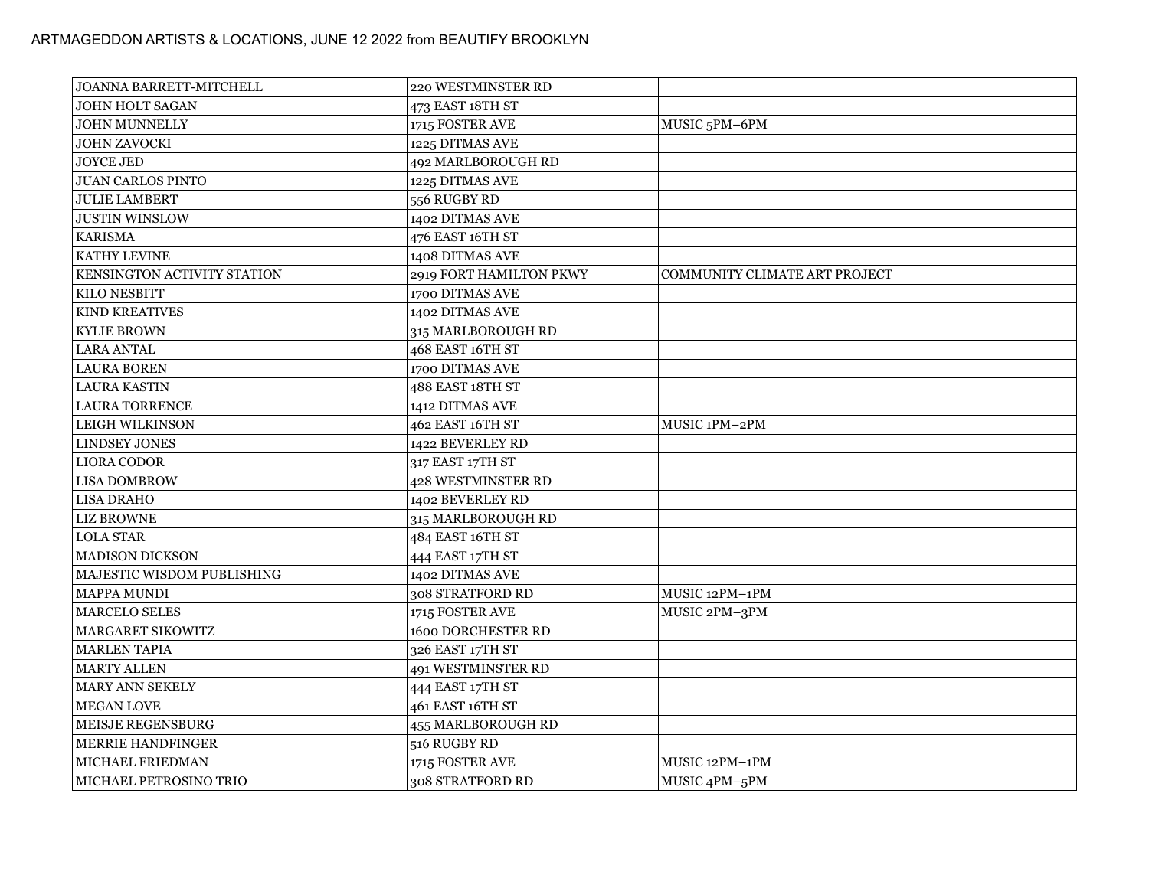| <b>JOANNA BARRETT-MITCHELL</b> | 220 WESTMINSTER RD        |                               |
|--------------------------------|---------------------------|-------------------------------|
| <b>JOHN HOLT SAGAN</b>         | 473 EAST 18TH ST          |                               |
| <b>JOHN MUNNELLY</b>           | 1715 FOSTER AVE           | MUSIC <sub>5</sub> PM-6PM     |
| <b>JOHN ZAVOCKI</b>            | 1225 DITMAS AVE           |                               |
| <b>JOYCE JED</b>               | 492 MARLBOROUGH RD        |                               |
| <b>JUAN CARLOS PINTO</b>       | 1225 DITMAS AVE           |                               |
| <b>JULIE LAMBERT</b>           | 556 RUGBY RD              |                               |
| <b>JUSTIN WINSLOW</b>          | 1402 DITMAS AVE           |                               |
| <b>KARISMA</b>                 | 476 EAST 16TH ST          |                               |
| KATHY LEVINE                   | 1408 DITMAS AVE           |                               |
| KENSINGTON ACTIVITY STATION    | 2919 FORT HAMILTON PKWY   | COMMUNITY CLIMATE ART PROJECT |
| <b>KILO NESBITT</b>            | 1700 DITMAS AVE           |                               |
| <b>KIND KREATIVES</b>          | 1402 DITMAS AVE           |                               |
| <b>KYLIE BROWN</b>             | 315 MARLBOROUGH RD        |                               |
| <b>LARA ANTAL</b>              | 468 EAST 16TH ST          |                               |
| <b>LAURA BOREN</b>             | 1700 DITMAS AVE           |                               |
| <b>LAURA KASTIN</b>            | 488 EAST 18TH ST          |                               |
| <b>LAURA TORRENCE</b>          | 1412 DITMAS AVE           |                               |
| <b>LEIGH WILKINSON</b>         | 462 EAST 16TH ST          | MUSIC 1PM-2PM                 |
| <b>LINDSEY JONES</b>           | 1422 BEVERLEY RD          |                               |
| <b>LIORA CODOR</b>             | 317 EAST 17TH ST          |                               |
| <b>LISA DOMBROW</b>            | 428 WESTMINSTER RD        |                               |
| <b>LISA DRAHO</b>              | 1402 BEVERLEY RD          |                               |
| LIZ BROWNE                     | 315 MARLBOROUGH RD        |                               |
| <b>LOLA STAR</b>               | 484 EAST 16TH ST          |                               |
| <b>MADISON DICKSON</b>         | 444 EAST 17TH ST          |                               |
| MAJESTIC WISDOM PUBLISHING     | 1402 DITMAS AVE           |                               |
| MAPPA MUNDI                    | 308 STRATFORD RD          | MUSIC 12PM-1PM                |
| <b>MARCELO SELES</b>           | 1715 FOSTER AVE           | MUSIC 2PM-3PM                 |
| <b>MARGARET SIKOWITZ</b>       | <b>1600 DORCHESTER RD</b> |                               |
| <b>MARLEN TAPIA</b>            | 326 EAST 17TH ST          |                               |
| <b>MARTY ALLEN</b>             | 491 WESTMINSTER RD        |                               |
| MARY ANN SEKELY                | 444 EAST 17TH ST          |                               |
| MEGAN LOVE                     | 461 EAST 16TH ST          |                               |
| MEISJE REGENSBURG              | 455 MARLBOROUGH RD        |                               |
| <b>MERRIE HANDFINGER</b>       | 516 RUGBY RD              |                               |
| MICHAEL FRIEDMAN               | 1715 FOSTER AVE           | MUSIC 12PM-1PM                |
| MICHAEL PETROSINO TRIO         | 308 STRATFORD RD          | MUSIC 4PM-5PM                 |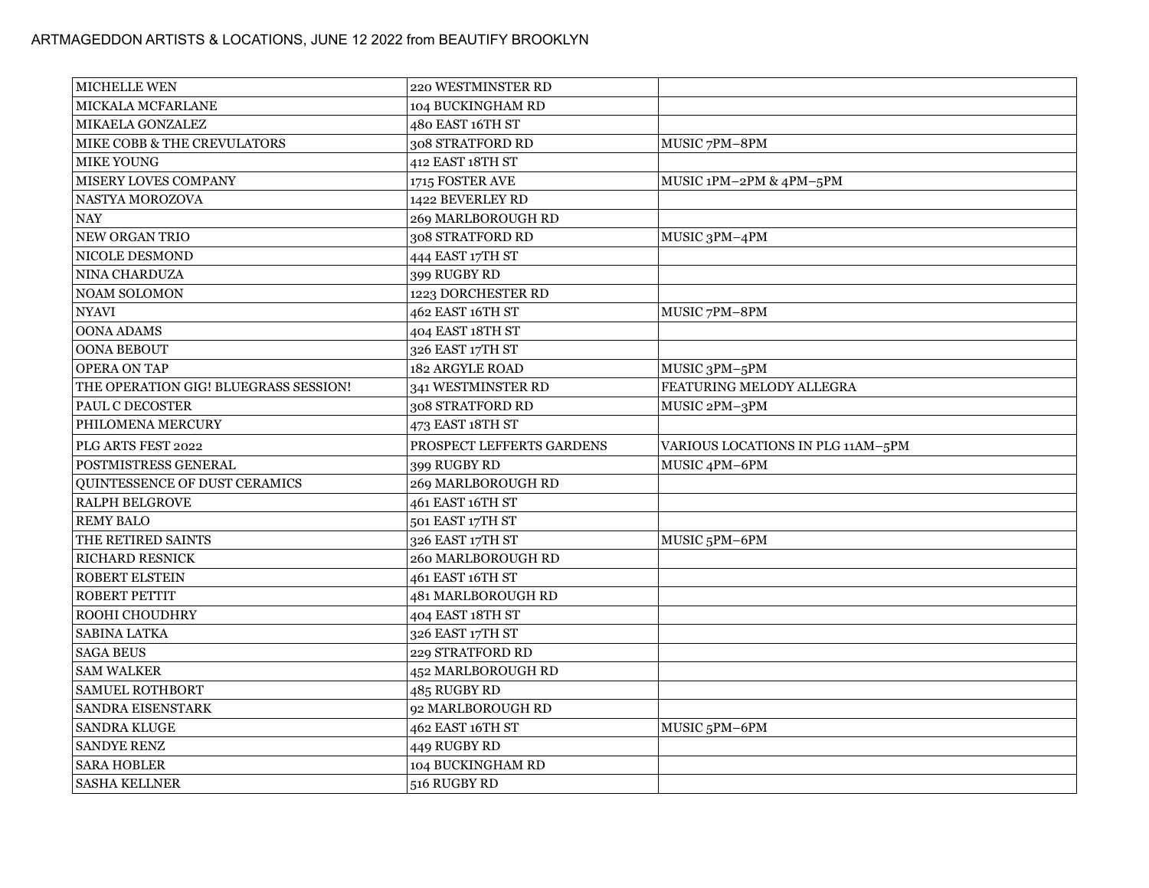| MICHELLE WEN                               | 220 WESTMINSTER RD                |                                   |
|--------------------------------------------|-----------------------------------|-----------------------------------|
| MICKALA MCFARLANE                          | 104 BUCKINGHAM RD                 |                                   |
| MIKAELA GONZALEZ                           | 480 EAST 16TH ST                  |                                   |
| MIKE COBB & THE CREVULATORS                | 308 STRATFORD RD                  | MUSIC 7PM-8PM                     |
| <b>MIKE YOUNG</b>                          | 412 EAST 18TH ST                  |                                   |
| <b>MISERY LOVES COMPANY</b>                | 1715 FOSTER AVE                   | MUSIC 1PM-2PM & 4PM-5PM           |
| NASTYA MOROZOVA                            | 1422 BEVERLEY RD                  |                                   |
| NAY                                        | 269 MARLBOROUGH RD                |                                   |
| NEW ORGAN TRIO                             | 308 STRATFORD RD                  | MUSIC 3PM-4PM                     |
| NICOLE DESMOND                             | 444 EAST 17TH ST                  |                                   |
| NINA CHARDUZA                              | 399 RUGBY RD                      |                                   |
| <b>NOAM SOLOMON</b>                        | 1223 DORCHESTER RD                |                                   |
| <b>NYAVI</b>                               | 462 EAST 16TH ST                  | MUSIC 7PM-8PM                     |
| OONA ADAMS                                 | 404 EAST 18TH ST                  |                                   |
| OONA BEBOUT                                | 326 EAST 17TH ST                  |                                   |
| <b>OPERA ON TAP</b>                        | 182 ARGYLE ROAD                   | MUSIC 3PM-5PM                     |
| THE OPERATION GIG! BLUEGRASS SESSION!      | 341 WESTMINSTER RD                | FEATURING MELODY ALLEGRA          |
| PAUL C DECOSTER                            | 308 STRATFORD RD                  | MUSIC 2PM-3PM                     |
| PHILOMENA MERCURY                          | 473 EAST 18TH ST                  |                                   |
|                                            |                                   |                                   |
| PLG ARTS FEST 2022                         | PROSPECT LEFFERTS GARDENS         | VARIOUS LOCATIONS IN PLG 11AM-5PM |
| POSTMISTRESS GENERAL                       | 399 RUGBY RD                      | MUSIC 4PM-6PM                     |
| QUINTESSENCE OF DUST CERAMICS              | 269 MARLBOROUGH RD                |                                   |
| <b>RALPH BELGROVE</b>                      | 461 EAST 16TH ST                  |                                   |
| <b>REMY BALO</b>                           | 501 EAST 17TH ST                  |                                   |
| THE RETIRED SAINTS                         | 326 EAST 17TH ST                  | MUSIC <sub>5</sub> PM-6PM         |
| RICHARD RESNICK                            | 260 MARLBOROUGH RD                |                                   |
| ROBERT ELSTEIN                             | 461 EAST 16TH ST                  |                                   |
| ROBERT PETTIT                              | 481 MARLBOROUGH RD                |                                   |
| ROOHI CHOUDHRY                             | 404 EAST 18TH ST                  |                                   |
| SABINA LATKA                               | 326 EAST 17TH ST                  |                                   |
| <b>SAGA BEUS</b>                           | 229 STRATFORD RD                  |                                   |
| <b>SAM WALKER</b>                          | 452 MARLBOROUGH RD                |                                   |
| <b>SAMUEL ROTHBORT</b>                     | 485 RUGBY RD                      |                                   |
| SANDRA EISENSTARK                          | 92 MARLBOROUGH RD                 |                                   |
| <b>SANDRA KLUGE</b>                        | 462 EAST 16TH ST                  | MUSIC <sub>5</sub> PM-6PM         |
| <b>SANDYE RENZ</b>                         | 449 RUGBY RD                      |                                   |
| <b>SARA HOBLER</b><br><b>SASHA KELLNER</b> | 104 BUCKINGHAM RD<br>516 RUGBY RD |                                   |